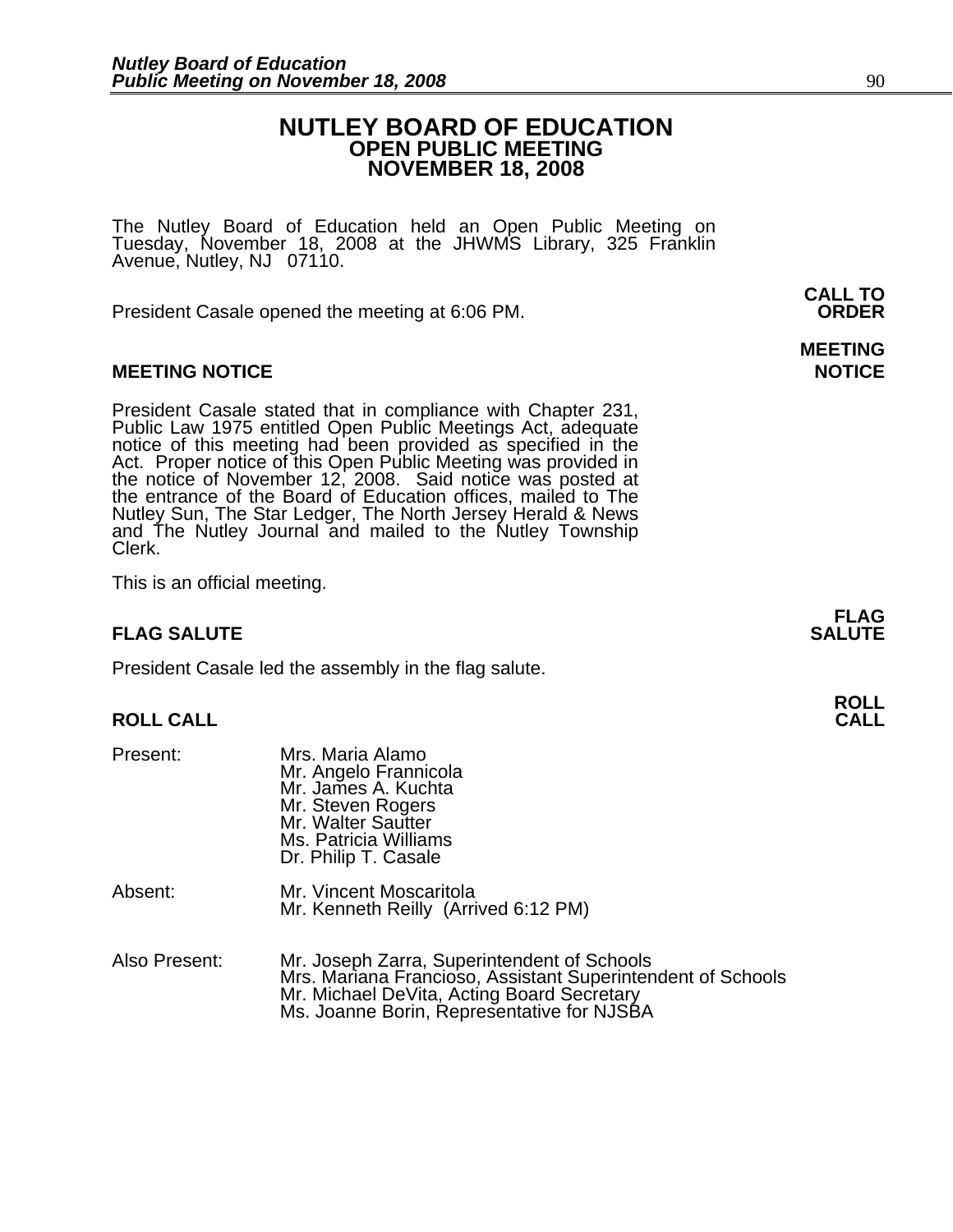## **NUTLEY BOARD OF EDUCATION OPEN PUBLIC MEETING NOVEMBER 18, 2008**

The Nutley Board of Education held an Open Public Meeting on Tuesday, November 18, 2008 at the JHWMS Library, 325 Franklin Avenue, Nutley, NJ 07110.

 **CALL TO**  President Casale opened the meeting at 6:06 PM. **ORDER**

### **MEETING NOTICE NOTICE AND INSTRUMENT IN A SET ON A SET ON A SET ON A SET ON A SET ON A SET ON A SET ON A SET O**

President Casale stated that in compliance with Chapter 231, Public Law 1975 entitled Open Public Meetings Act, adequate notice of this meeting had been provided as specified in the Act. Proper notice of this Open Public M the notice of November 12, 2008. Said notice was posted at the entrance of the Board of Education offices, mailed to The Nutley Sun, The Star Ledger, The North Jersey Herald & News and The Nutley Journal and mailed to the Nutley Township Clerk.

This is an official meeting.

### **FLAG SALUTE** SALUTE

President Casale led the assembly in the flag salute.

# **ROLL ROLL CALL CALL**

| Present:      | Mrs. Maria Alamo<br>Mr. Angelo Frannicola<br>Mr. James A. Kuchta<br>Mr. Steven Rogers<br>Mr. Walter Sautter<br>Ms. Patricia Williams<br>Dr. Philip T. Casale                                           |
|---------------|--------------------------------------------------------------------------------------------------------------------------------------------------------------------------------------------------------|
| Absent:       | Mr. Vincent Moscaritola<br>Mr. Kenneth Reilly (Arrived 6:12 PM)                                                                                                                                        |
| Also Present: | Mr. Joseph Zarra, Superintendent of Schools<br>Mrs. Mariana Francioso, Assistant Superintendent of Schools<br>Mr. Michael DeVita, Acting Board Secretary<br>Ms. Joanne Borin, Representative for NJSBA |

# **MEETING**

**FLAG**